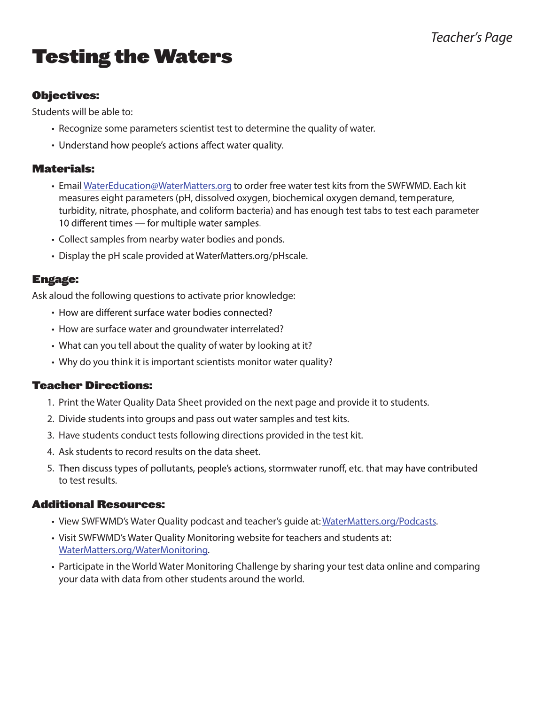## *Teacher's Page*

# Testing the Waters

#### Objectives:

Students will be able to:

- Recognize some parameters scientist test to determine the quality of water.
- Understand how people's actions affect water quality.

#### Materials:

- Email WaterEducation@WaterMatters.org to order free water test kits from the SWFWMD. Each kit measures eight parameters (pH, dissolved oxygen, biochemical oxygen demand, temperature, turbidity, nitrate, phosphate, and coliform bacteria) and has enough test tabs to test each parameter 10 different times - for multiple water samples.
- Collect samples from nearby water bodies and ponds.
- Display the pH scale provided at WaterMatters.org/pHscale.

#### Engage:

Ask aloud the following questions to activate prior knowledge:

- How are different surface water bodies connected?
- How are surface water and groundwater interrelated?
- What can you tell about the quality of water by looking at it?
- Why do you think it is important scientists monitor water quality?

#### Teacher Directions:

- 1. Print the Water Quality Data Sheet provided on the next page and provide it to students.
- 2. Divide students into groups and pass out water samples and test kits.
- 3. Have students conduct tests following directions provided in the test kit.
- 4. Ask students to record results on the data sheet.
- 5. Then discuss types of pollutants, people's actions, stormwater runoff, etc. that may have contributed to test results.

#### Additional Resources:

- View SWFWMD's Water Quality podcast and teacher's guide at: WaterMatters.org/Podcasts.
- Visit SWFWMD's Water Quality Monitoring website for teachers and students at: WaterMatters.org/WaterMonitoring.
- Participate in the World Water Monitoring Challenge by sharing your test data online and comparing your data with data from other students around the world.